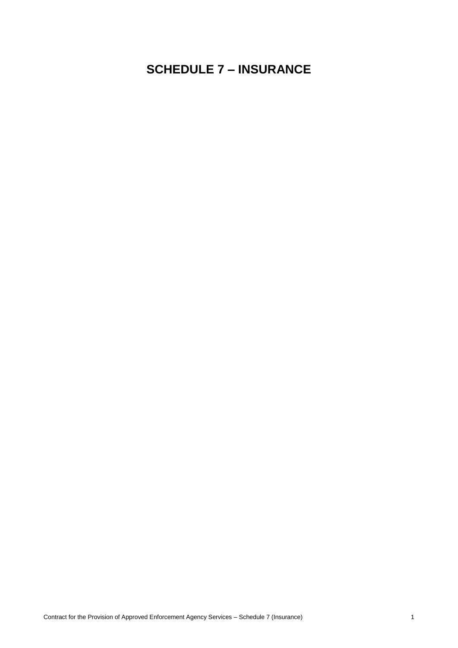# **SCHEDULE 7 – INSURANCE**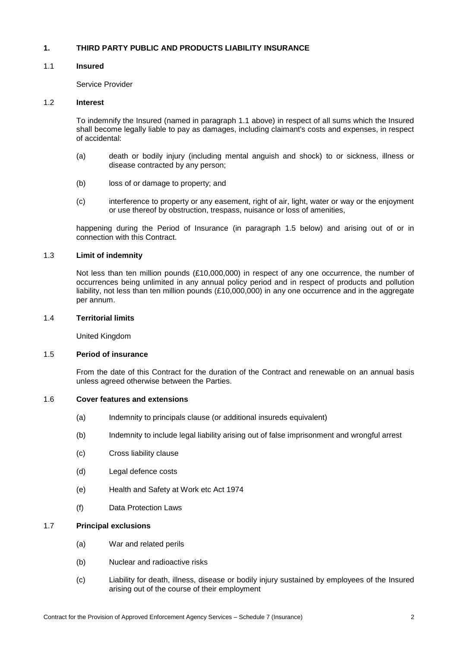# **1. THIRD PARTY PUBLIC AND PRODUCTS LIABILITY INSURANCE**

# <span id="page-1-0"></span>1.1 **Insured**

Service Provider

#### 1.2 **Interest**

To indemnify the Insured (named in paragraph [1.1](#page-1-0) above) in respect of all sums which the Insured shall become legally liable to pay as damages, including claimant's costs and expenses, in respect of accidental:

- (a) death or bodily injury (including mental anguish and shock) to or sickness, illness or disease contracted by any person;
- (b) loss of or damage to property; and
- (c) interference to property or any easement, right of air, light, water or way or the enjoyment or use thereof by obstruction, trespass, nuisance or loss of amenities,

happening during the Period of Insurance (in paragraph [1.5](#page-1-1) below) and arising out of or in connection with this Contract.

#### 1.3 **Limit of indemnity**

Not less than ten million pounds (£10,000,000) in respect of any one occurrence, the number of occurrences being unlimited in any annual policy period and in respect of products and pollution liability, not less than ten million pounds (£10,000,000) in any one occurrence and in the aggregate per annum.

#### 1.4 **Territorial limits**

United Kingdom

#### <span id="page-1-1"></span>1.5 **Period of insurance**

From the date of this Contract for the duration of the Contract and renewable on an annual basis unless agreed otherwise between the Parties.

#### 1.6 **Cover features and extensions**

- (a) Indemnity to principals clause (or additional insureds equivalent)
- (b) Indemnity to include legal liability arising out of false imprisonment and wrongful arrest
- (c) Cross liability clause
- (d) Legal defence costs
- (e) Health and Safety at Work etc Act 1974
- (f) Data Protection Laws

# 1.7 **Principal exclusions**

- (a) War and related perils
- (b) Nuclear and radioactive risks
- (c) Liability for death, illness, disease or bodily injury sustained by employees of the Insured arising out of the course of their employment